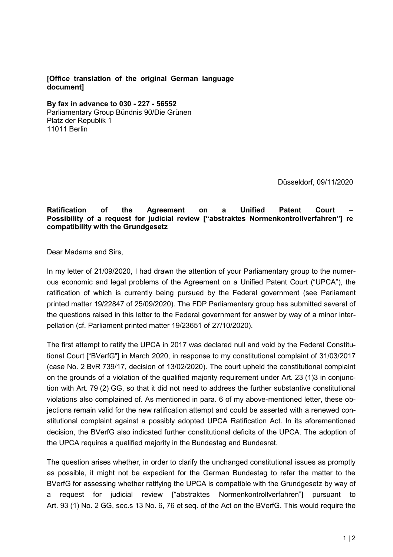## **[Office translation of the original German language document]**

**By fax in advance to 030 - 227 - 56552**

Parliamentary Group Bündnis 90/Die Grünen Platz der Republik 1 11011 Berlin

Düsseldorf, 09/11/2020

## **Ratification of the Agreement on a Unified Patent Court** – **Possibility of a request for judicial review ["abstraktes Normenkontrollverfahren"] re compatibility with the Grundgesetz**

Dear Madams and Sirs,

In my letter of 21/09/2020, I had drawn the attention of your Parliamentary group to the numerous economic and legal problems of the Agreement on a Unified Patent Court ("UPCA"), the ratification of which is currently being pursued by the Federal government (see Parliament printed matter 19/22847 of 25/09/2020). The FDP Parliamentary group has submitted several of the questions raised in this letter to the Federal government for answer by way of a minor interpellation (cf. Parliament printed matter 19/23651 of 27/10/2020).

The first attempt to ratify the UPCA in 2017 was declared null and void by the Federal Constitutional Court ["BVerfG"] in March 2020, in response to my constitutional complaint of 31/03/2017 (case No. 2 BvR 739/17, decision of 13/02/2020). The court upheld the constitutional complaint on the grounds of a violation of the qualified majority requirement under Art. 23 (1)3 in conjunction with Art. 79 (2) GG, so that it did not need to address the further substantive constitutional violations also complained of. As mentioned in para. 6 of my above-mentioned letter, these objections remain valid for the new ratification attempt and could be asserted with a renewed constitutional complaint against a possibly adopted UPCA Ratification Act. In its aforementioned decision, the BVerfG also indicated further constitutional deficits of the UPCA. The adoption of the UPCA requires a qualified majority in the Bundestag and Bundesrat.

The question arises whether, in order to clarify the unchanged constitutional issues as promptly as possible, it might not be expedient for the German Bundestag to refer the matter to the BVerfG for assessing whether ratifying the UPCA is compatible with the Grundgesetz by way of a request for judicial review ["abstraktes Normenkontrollverfahren"] pursuant to Art. 93 (1) No. 2 GG, sec.s 13 No. 6, 76 et seq. of the Act on the BVerfG. This would require the